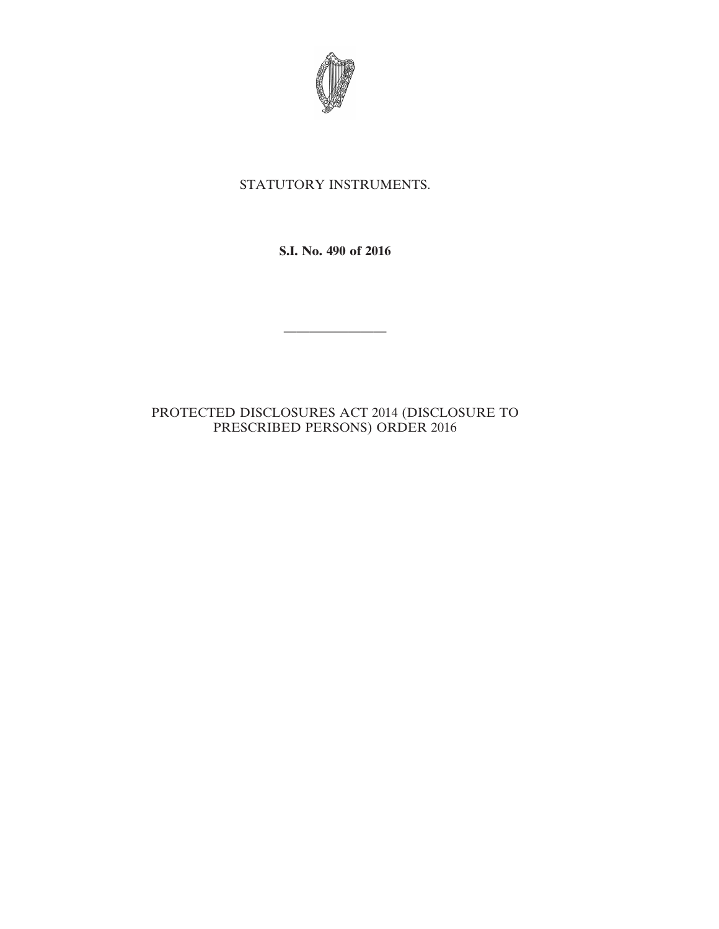

## STATUTORY INSTRUMENTS.

**S.I. No. 490 of 2016**

————————

## PROTECTED DISCLOSURES ACT 2014 (DISCLOSURE TO PRESCRIBED PERSONS) ORDER 2016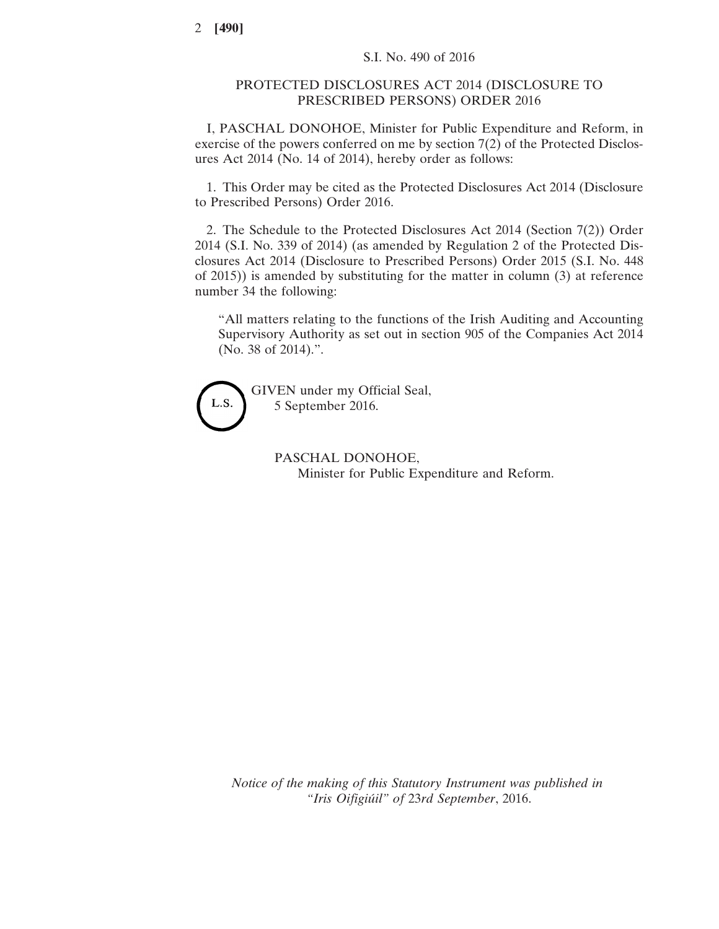## PROTECTED DISCLOSURES ACT 2014 (DISCLOSURE TO PRESCRIBED PERSONS) ORDER 2016

I, PASCHAL DONOHOE, Minister for Public Expenditure and Reform, in exercise of the powers conferred on me by section 7(2) of the Protected Disclosures Act 2014 (No. 14 of 2014), hereby order as follows:

1. This Order may be cited as the Protected Disclosures Act 2014 (Disclosure to Prescribed Persons) Order 2016.

2. The Schedule to the Protected Disclosures Act 2014 (Section 7(2)) Order 2014 (S.I. No. 339 of 2014) (as amended by Regulation 2 of the Protected Disclosures Act 2014 (Disclosure to Prescribed Persons) Order 2015 (S.I. No. 448 of 2015)) is amended by substituting for the matter in column (3) at reference number 34 the following:

"All matters relating to the functions of the Irish Auditing and Accounting Supervisory Authority as set out in section 905 of the Companies Act 2014 (No. 38 of 2014).".



GIVEN under my Official Seal, 5 September 2016.

> PASCHAL DONOHOE, Minister for Public Expenditure and Reform.

*Notice of the making of this Statutory Instrument was published in "Iris Oifigiúil" of* 23*rd September*, 2016.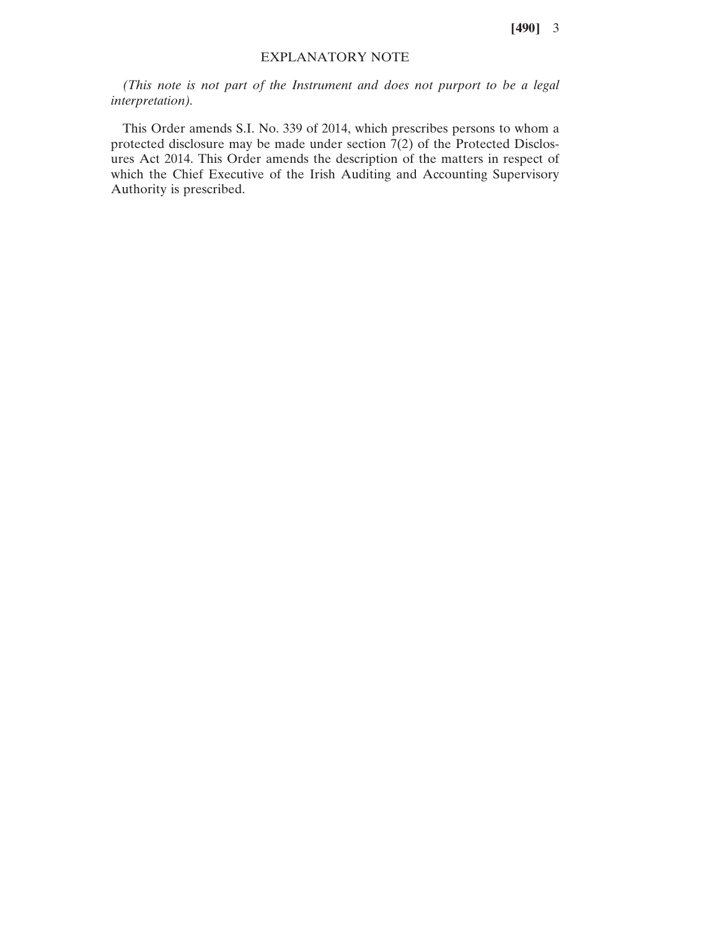**[490]** 3

## EXPLANATORY NOTE

*(This note is not part of the Instrument and does not purport to be a legal interpretation).*

This Order amends S.I. No. 339 of 2014, which prescribes persons to whom a protected disclosure may be made under section 7(2) of the Protected Disclosures Act 2014. This Order amends the description of the matters in respect of which the Chief Executive of the Irish Auditing and Accounting Supervisory Authority is prescribed.